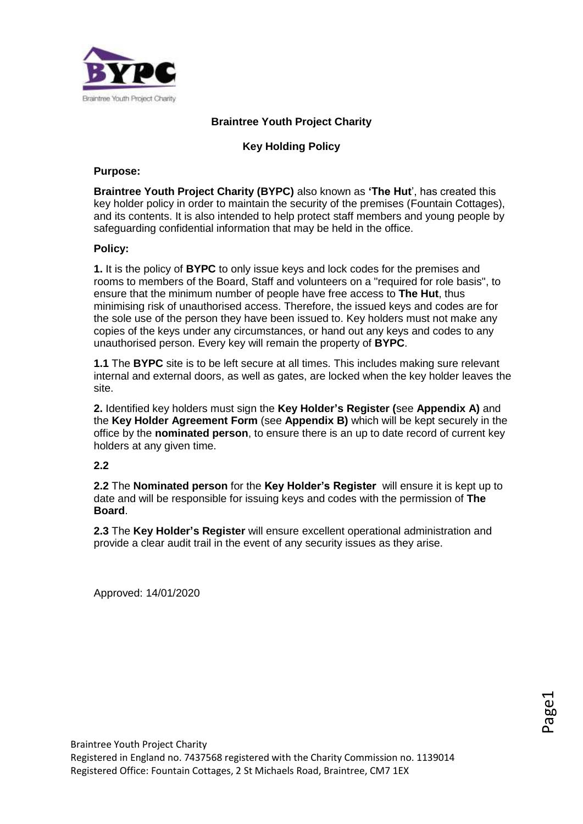

# **Braintree Youth Project Charity**

# **Key Holding Policy**

#### **Purpose:**

**Braintree Youth Project Charity (BYPC)** also known as **'The Hut**', has created this key holder policy in order to maintain the security of the premises (Fountain Cottages), and its contents. It is also intended to help protect staff members and young people by safeguarding confidential information that may be held in the office.

### **Policy:**

**1.** It is the policy of **BYPC** to only issue keys and lock codes for the premises and rooms to members of the Board, Staff and volunteers on a "required for role basis", to ensure that the minimum number of people have free access to **The Hut**, thus minimising risk of unauthorised access. Therefore, the issued keys and codes are for the sole use of the person they have been issued to. Key holders must not make any copies of the keys under any circumstances, or hand out any keys and codes to any unauthorised person. Every key will remain the property of **BYPC**.

**1.1** The **BYPC** site is to be left secure at all times. This includes making sure relevant internal and external doors, as well as gates, are locked when the key holder leaves the site.

**2.** Identified key holders must sign the **Key Holder's Register (**see **Appendix A)** and the **Key Holder Agreement Form** (see **Appendix B)** which will be kept securely in the office by the **nominated person**, to ensure there is an up to date record of current key holders at any given time.

### **2.2**

**2.2** The **Nominated person** for the **Key Holder's Register** will ensure it is kept up to date and will be responsible for issuing keys and codes with the permission of **The Board**.

**2.3** The **Key Holder's Register** will ensure excellent operational administration and provide a clear audit trail in the event of any security issues as they arise.

Approved: 14/01/2020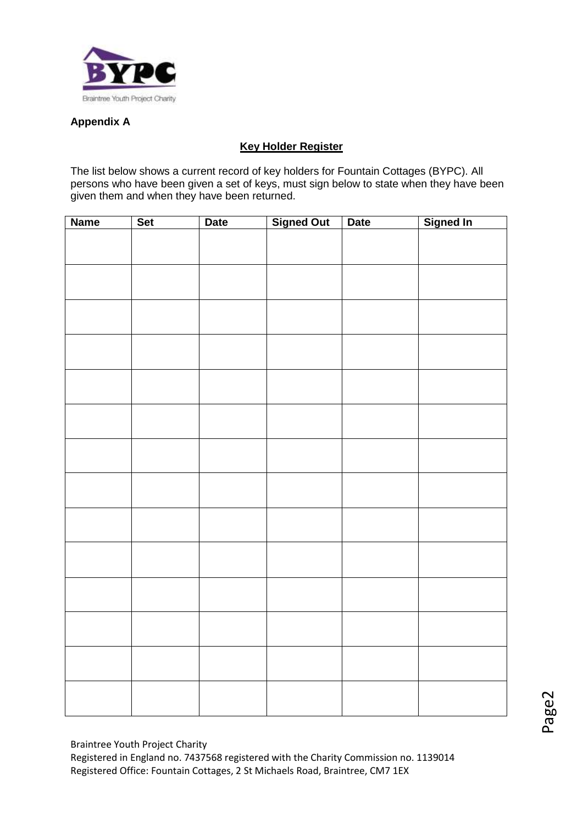

# **Appendix A**

# **Key Holder Register**

The list below shows a current record of key holders for Fountain Cottages (BYPC). All persons who have been given a set of keys, must sign below to state when they have been given them and when they have been returned.

| <b>Name</b> | Set | <b>Date</b> | <b>Signed Out</b> | <b>Date</b> | Signed In |
|-------------|-----|-------------|-------------------|-------------|-----------|
|             |     |             |                   |             |           |
|             |     |             |                   |             |           |
|             |     |             |                   |             |           |
|             |     |             |                   |             |           |
|             |     |             |                   |             |           |
|             |     |             |                   |             |           |
|             |     |             |                   |             |           |
|             |     |             |                   |             |           |
|             |     |             |                   |             |           |
|             |     |             |                   |             |           |
|             |     |             |                   |             |           |
|             |     |             |                   |             |           |
|             |     |             |                   |             |           |
|             |     |             |                   |             |           |
|             |     |             |                   |             |           |
|             |     |             |                   |             |           |
|             |     |             |                   |             |           |
|             |     |             |                   |             |           |
|             |     |             |                   |             |           |
|             |     |             |                   |             |           |
|             |     |             |                   |             |           |
|             |     |             |                   |             |           |
|             |     |             |                   |             |           |
|             |     |             |                   |             |           |
|             |     |             |                   |             |           |
|             |     |             |                   |             |           |
|             |     |             |                   |             |           |
|             |     |             |                   |             |           |
|             |     |             |                   |             |           |
|             |     |             |                   |             |           |
|             |     |             |                   |             |           |
|             |     |             |                   |             |           |
|             |     |             |                   |             |           |

Braintree Youth Project Charity Registered in England no. 7437568 registered with the Charity Commission no. 1139014 Registered Office: Fountain Cottages, 2 St Michaels Road, Braintree, CM7 1EX